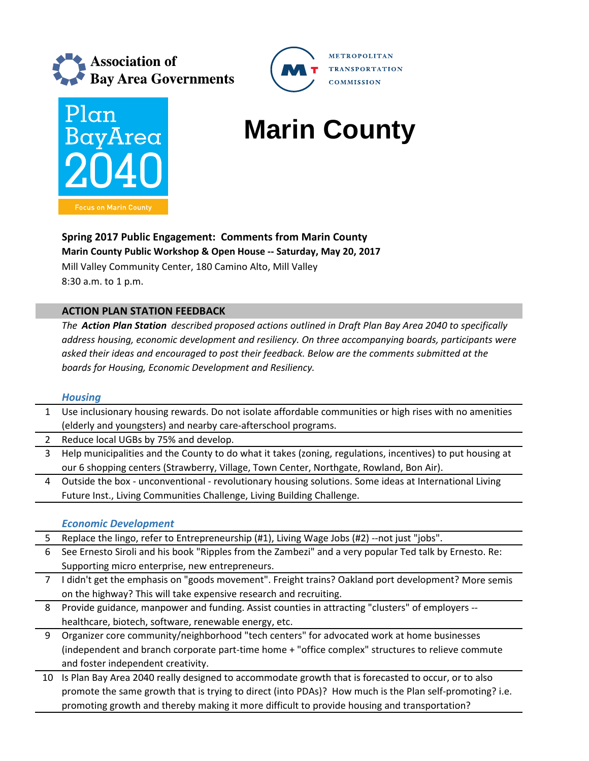



# **Marin County**

**METROPOLITAN** 

**COMMISSION** 

**TRANSPORTATION** 

**Spring 2017 Public Engagement: Comments from Marin County Marin County Public Workshop & Open House ‐‐ Saturday, May 20, 2017** Mill Valley Community Center, 180 Camino Alto, Mill Valley 8:30 a.m. to 1 p.m.

## **ACTION PLAN STATION FEEDBACK**

*The Action Plan Station described proposed actions outlined in Draft Plan Bay Area 2040 to specifically address housing, economic development and resiliency. On three accompanying boards, participants were asked their ideas and encouraged to post their feedback. Below are the comments submitted at the boards for Housing, Economic Development and Resiliency.*

#### *Housing*

1 Use inclusionary housing rewards. Do not isolate affordable communities or high rises with no amenities (elderly and youngsters) and nearby care‐afterschool programs.

- 2 Reduce local UGBs by 75% and develop.
- 3 Help municipalities and the County to do what it takes (zoning, regulations, incentives) to put housing at our 6 shopping centers (Strawberry, Village, Town Center, Northgate, Rowland, Bon Air).
- 4 Outside the box ‐ unconventional ‐ revolutionary housing solutions. Some ideas at International Living Future Inst., Living Communities Challenge, Living Building Challenge.

#### *Economic Development*

- 5 Replace the lingo, refer to Entrepreneurship (#1), Living Wage Jobs (#2) --not just "jobs".
- 6 See Ernesto Siroli and his book "Ripples from the Zambezi" and a very popular Ted talk by Ernesto. Re: Supporting micro enterprise, new entrepreneurs.
- 7 I didn't get the emphasis on "goods movement". Freight trains? Oakland port development? More semis on the highway? This will take expensive research and recruiting.
- 8 Provide guidance, manpower and funding. Assist counties in attracting "clusters" of employers ‐‐ healthcare, biotech, software, renewable energy, etc.
- 9 Organizer core community/neighborhood "tech centers" for advocated work at home businesses (independent and branch corporate part‐time home + "office complex" structures to relieve commute and foster independent creativity.
- 10 Is Plan Bay Area 2040 really designed to accommodate growth that is forecasted to occur, or to also promote the same growth that is trying to direct (into PDAs)? How much is the Plan self-promoting? i.e. promoting growth and thereby making it more difficult to provide housing and transportation?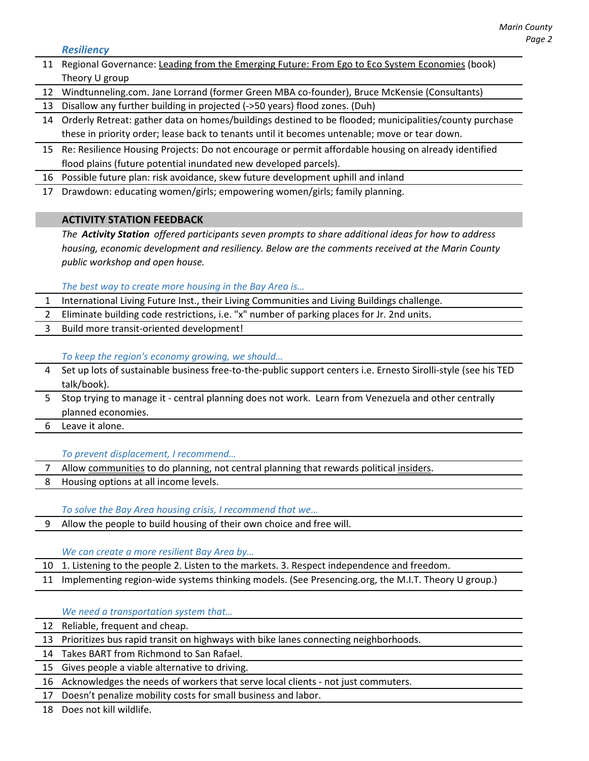#### *Resiliency*

- 11 Regional Governance: Leading from the Emerging Future: From Ego to Eco System Economies (book) Theory U group
- 12 Windtunneling.com. Jane Lorrand (former Green MBA co‐founder), Bruce McKensie (Consultants)
- 13 Disallow any further building in projected (‐>50 years) flood zones. (Duh)
- 14 Orderly Retreat: gather data on homes/buildings destined to be flooded; municipalities/county purchase these in priority order; lease back to tenants until it becomes untenable; move or tear down.
- 15 Re: Resilience Housing Projects: Do not encourage or permit affordable housing on already identified flood plains (future potential inundated new developed parcels).
- 16 Possible future plan: risk avoidance, skew future development uphill and inland
- 17 Drawdown: educating women/girls; empowering women/girls; family planning.

### **ACTIVITY STATION FEEDBACK**

*The Activity Station offered participants seven prompts to share additional ideas for how to address housing, economic development and resiliency. Below are the comments received at the Marin County public workshop and open house.*

#### *The best way to create more housing in the Bay Area is…*

- 1 International Living Future Inst., their Living Communities and Living Buildings challenge.
- 2 Eliminate building code restrictions, i.e. "x" number of parking places for Jr. 2nd units.
- 3 Build more transit‐oriented development!

### *To keep the region's economy growing, we should…*

- Set up lots of sustainable business free-to-the-public support centers i.e. Ernesto Sirolli-style (see his TED talk/book).
- 5 Stop trying to manage it central planning does not work. Learn from Venezuela and other centrally planned economies.
- 6 Leave it alone.

*To prevent displacement, I recommend…*

- 7 Allow communities to do planning, not central planning that rewards political insiders.
- 8 Housing options at all income levels.

*To solve the Bay Area housing crisis, I recommend that we…*

9 Allow the people to build housing of their own choice and free will.

#### *We can create a more resilient Bay Area by…*

- 10 1. Listening to the people 2. Listen to the markets. 3. Respect independence and freedom.
- 11 Implementing region-wide systems thinking models. (See Presencing.org, the M.I.T. Theory U group.)

*We need a transportation system that…*

- 12 Reliable, frequent and cheap.
- 13 Prioritizes bus rapid transit on highways with bike lanes connecting neighborhoods.
- 14 Takes BART from Richmond to San Rafael.
- 15 Gives people a viable alternative to driving.
- 16 Acknowledges the needs of workers that serve local clients ‐ not just commuters.
- 17 Doesn't penalize mobility costs for small business and labor.

18 Does not kill wildlife.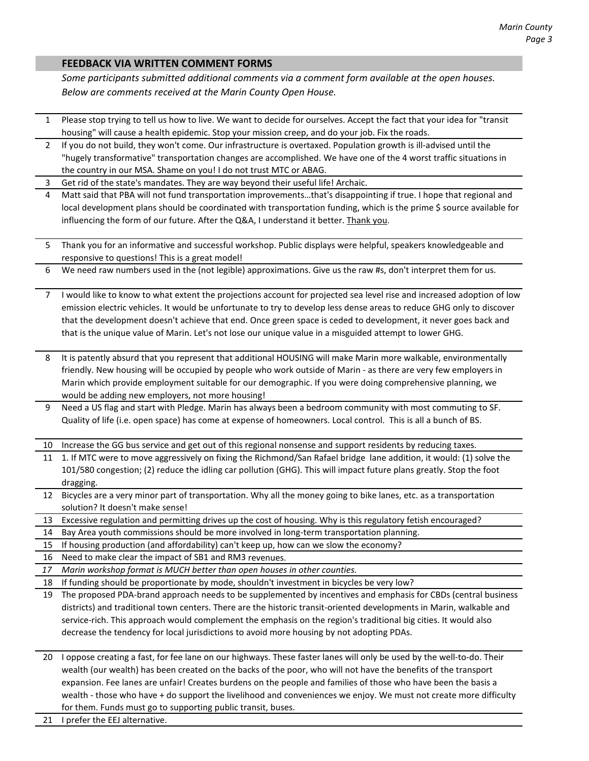#### **FEEDBACK VIA WRITTEN COMMENT FORMS**

*Some participants submitted additional comments via a comment form available at the open houses. Below are comments received at the Marin County Open House.* 

- 1 Please stop trying to tell us how to live. We want to decide for ourselves. Accept the fact that your idea for "transit housing" will cause a health epidemic. Stop your mission creep, and do your job. Fix the roads.
- 2 If you do not build, they won't come. Our infrastructure is overtaxed. Population growth is ill-advised until the "hugely transformative" transportation changes are accomplished. We have one of the 4 worst traffic situations in the country in our MSA. Shame on you! I do not trust MTC or ABAG.
- 3 Get rid of the state's mandates. They are way beyond their useful life! Archaic.

4 Matt said that PBA will not fund transportation improvements…that's disappointing if true. I hope that regional and local development plans should be coordinated with transportation funding, which is the prime \$ source available for influencing the form of our future. After the Q&A, I understand it better. Thank you.

- 5 Thank you for an informative and successful workshop. Public displays were helpful, speakers knowledgeable and responsive to questions! This is a great model!
- 6 We need raw numbers used in the (not legible) approximations. Give us the raw #s, don't interpret them for us.

7 I would like to know to what extent the projections account for projected sea level rise and increased adoption of low emission electric vehicles. It would be unfortunate to try to develop less dense areas to reduce GHG only to discover that the development doesn't achieve that end. Once green space is ceded to development, it never goes back and that is the unique value of Marin. Let's not lose our unique value in a misguided attempt to lower GHG.

- 8 It is patently absurd that you represent that additional HOUSING will make Marin more walkable, environmentally friendly. New housing will be occupied by people who work outside of Marin ‐ as there are very few employers in Marin which provide employment suitable for our demographic. If you were doing comprehensive planning, we would be adding new employers, not more housing!
- 9 Need a US flag and start with Pledge. Marin has always been a bedroom community with most commuting to SF. Quality of life (i.e. open space) has come at expense of homeowners. Local control. This is all a bunch of BS.

Increase the GG bus service and get out of this regional nonsense and support residents by reducing taxes.

- 11 1. If MTC were to move aggressively on fixing the Richmond/San Rafael bridge lane addition, it would: (1) solve the 101/580 congestion; (2) reduce the idling car pollution (GHG). This will impact future plans greatly. Stop the foot dragging.
- 12 Bicycles are a very minor part of transportation. Why all the money going to bike lanes, etc. as a transportation solution? It doesn't make sense!
- 13 Excessive regulation and permitting drives up the cost of housing. Why is this regulatory fetish encouraged?
- 14 Bay Area youth commissions should be more involved in long‐term transportation planning.
- 15 If housing production (and affordability) can't keep up, how can we slow the economy?
- 16 Need to make clear the impact of SB1 and RM3 revenues.
- *17 Marin workshop format is MUCH better than open houses in other counties.*
- 18 If funding should be proportionate by mode, shouldn't investment in bicycles be very low?
- 19 The proposed PDA‐brand approach needs to be supplemented by incentives and emphasis for CBDs (central business districts) and traditional town centers. There are the historic transit‐oriented developments in Marin, walkable and service-rich. This approach would complement the emphasis on the region's traditional big cities. It would also decrease the tendency for local jurisdictions to avoid more housing by not adopting PDAs.
- 20 I oppose creating a fast, for fee lane on our highways. These faster lanes will only be used by the well-to-do. Their wealth (our wealth) has been created on the backs of the poor, who will not have the benefits of the transport expansion. Fee lanes are unfair! Creates burdens on the people and families of those who have been the basis a wealth - those who have + do support the livelihood and conveniences we enjoy. We must not create more difficulty for them. Funds must go to supporting public transit, buses.
- 21 I prefer the EEJ alternative.